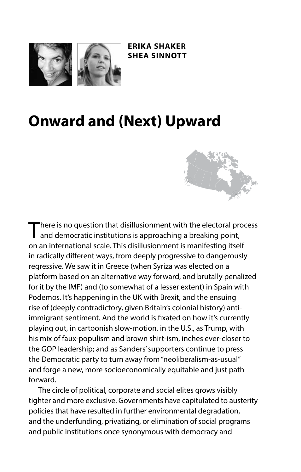

**ERIKA SHAKER SHEA SINNOTT**

## **Onward and (Next) Upward**



There is no question that disillusionment with the electoral process and democratic institutions is approaching a breaking point, on an international scale. This disillusionment is manifesting itself in radically diferent ways, from deeply progressive to dangerously regressive. We saw it in Greece (when Syriza was elected on a platform based on an alternative way forward, and brutally penalized for it by the IMF) and (to somewhat of a lesser extent) in Spain with Podemos. It's happening in the UK with Brexit, and the ensuing rise of (deeply contradictory, given Britain's colonial history) antiimmigrant sentiment. And the world is fxated on how it's currently playing out, in cartoonish slow-motion, in the U.S., as Trump, with his mix of faux-populism and brown shirt-ism, inches ever-closer to the GOP leadership; and as Sanders' supporters continue to press the Democratic party to turn away from "neoliberalism-as-usual" and forge a new, more socioeconomically equitable and just path forward.

The circle of political, corporate and social elites grows visibly tighter and more exclusive. Governments have capitulated to austerity policies that have resulted in further environmental degradation, and the underfunding, privatizing, or elimination of social programs and public institutions once synonymous with democracy and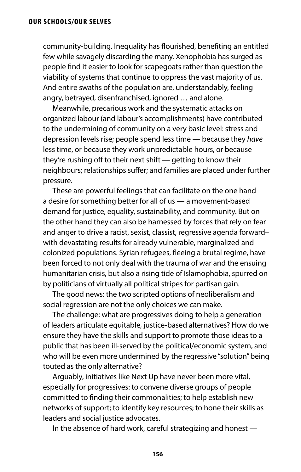community-building. Inequality has fourished, benefting an entitled few while savagely discarding the many. Xenophobia has surged as people fnd it easier to look for scapegoats rather than question the viability of systems that continue to oppress the vast majority of us. And entire swaths of the population are, understandably, feeling angry, betrayed, disenfranchised, ignored … and alone.

Meanwhile, precarious work and the systematic attacks on organized labour (and labour's accomplishments) have contributed to the undermining of community on a very basic level: stress and depression levels rise; people spend less time — because they *have* less time, or because they work unpredictable hours, or because they're rushing off to their next shift  $-$  getting to know their neighbours; relationships suffer; and families are placed under further pressure.

These are powerful feelings that can facilitate on the one hand a desire for something better for all of us — a movement-based demand for justice, equality, sustainability, and community. But on the other hand they can also be harnessed by forces that rely on fear and anger to drive a racist, sexist, classist, regressive agenda forward– with devastating results for already vulnerable, marginalized and colonized populations. Syrian refugees, feeing a brutal regime, have been forced to not only deal with the trauma of war and the ensuing humanitarian crisis, but also a rising tide of Islamophobia, spurred on by politicians of virtually all political stripes for partisan gain.

The good news: the two scripted options of neoliberalism and social regression are not the only choices we can make.

The challenge: what are progressives doing to help a generation of leaders articulate equitable, justice-based alternatives? How do we ensure they have the skills and support to promote those ideas to a public that has been ill-served by the political/economic system, and who will be even more undermined by the regressive "solution" being touted as the only alternative?

Arguably, initiatives like Next Up have never been more vital, especially for progressives: to convene diverse groups of people committed to fnding their commonalities; to help establish new networks of support; to identify key resources; to hone their skills as leaders and social justice advocates.

In the absence of hard work, careful strategizing and honest —